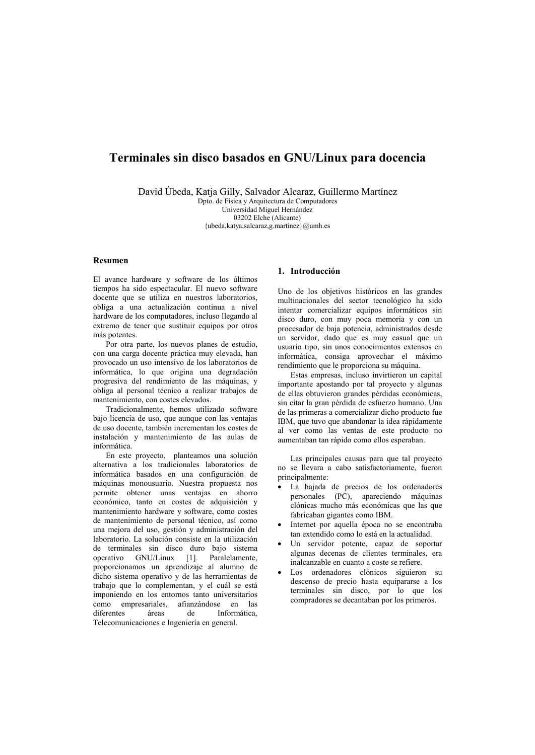# Terminales sin disco basados en GNU/Linux para docencia

David Úbeda, Katja Gilly, Salvador Alcaraz, Guillermo Martínez

Dpto. de Física y Arquitectura de Computadores Universidad Miguel Hernández 03202 Elche (Alicante) {ubeda, katya, salcaraz, g. martinez} @umh.es

# Resumen

El avance hardware y software de los últimos tiempos ha sido espectacular. El nuevo software docente que se utiliza en nuestros laboratorios. obliga a una actualización continua a nivel hardware de los computadores, incluso llegando al extremo de tener que sustituir equipos por otros más notentes

Por otra parte, los nuevos planes de estudio, con una carga docente práctica muy elevada, han provocado un uso intensivo de los laboratorios de informática, lo que origina una degradación progresiva del rendimiento de las máquinas, y obliga al personal técnico a realizar trabajos de mantenimiento, con costes elevados.

Tradicionalmente, hemos utilizado software bajo licencia de uso, que aunque con las ventajas de uso docente, también incrementan los costes de instalación y mantenimiento de las aulas de informática.

En este proyecto, planteamos una solución alternativa a los tradicionales laboratorios de informática basados en una configuración de máquinas monousuario. Nuestra propuesta nos permite obtener unas ventajas en ahorro económico, tanto en costes de adquisición y mantenimiento hardware y software, como costes de mantenimiento de personal técnico, así como una mejora del uso, gestión y administración del laboratorio. La solución consiste en la utilización de terminales sin disco duro bajo sistema operativo GNU/Linux [1]. Paralelamente, proporcionamos un aprendizaje al alumno de dicho sistema operativo y de las herramientas de trabajo que lo complementan, y el cuál se está imponiendo en los entornos tanto universitarios como empresariales, afianzándose en las diferentes áreas de Informática Telecomunicaciones e Ingeniería en general.

# 1. Introducción

Uno de los objetivos históricos en las grandes multinacionales del sector tecnológico ha sido intentar comercializar equinos informáticos sin disco duro, con muy poca memoria y con un procesador de baja potencia, administrados desde un servidor, dado que es muy casual que un usuario tipo, sin unos conocimientos extensos en informática, consiga aprovechar el máximo rendimiento que le proporciona su máquina.

Estas empresas, incluso invirtieron un capital importante apostando por tal provecto y algunas de ellas obtuvieron grandes pérdidas económicas, sin citar la gran pérdida de esfuerzo humano. Una de las primeras a comercializar dicho producto fue IBM, que tuvo que abandonar la idea rápidamente al ver como las ventas de este producto no aumentaban tan rápido como ellos esperaban.

Las principales causas para que tal proyecto no se llevara a cabo satisfactoriamente, fueron principalmente:

- · La bajada de precios de los ordenadores personales (PC), apareciendo máquinas clónicas mucho más económicas que las que fabricaban gigantes como IBM.
- Internet por aquella época no se encontraba tan extendido como lo está en la actualidad.
- Un servidor potente, capaz de soportar algunas decenas de clientes terminales, era inalcanzable en cuanto a coste se refiere.
- Los ordenadores clónicos siguieron su descenso de precio hasta equipararse a los terminales sin disco, por lo que los compradores se decantaban por los primeros.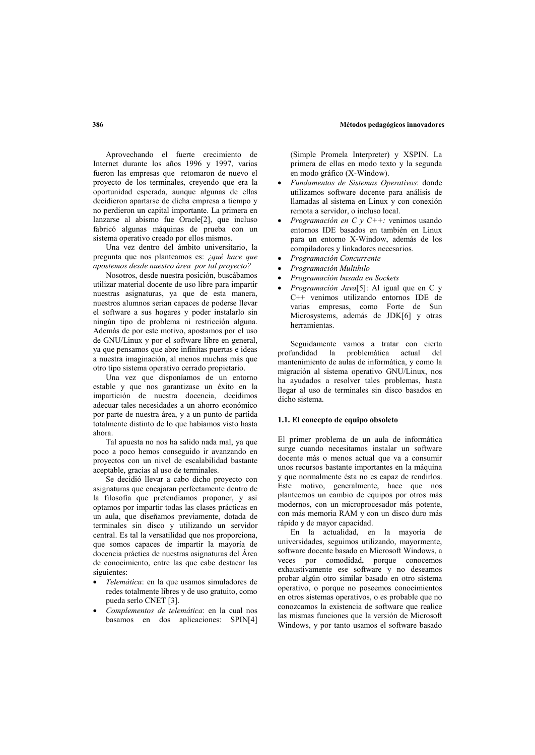Aprovechando el fuerte crecimiento de Internet durante los años 1996 y 1997, varias fueron las empresas que retomaron de nuevo el proyecto de los terminales, creyendo que era la oportunidad esperada, aunque algunas de ellas decidieron apartarse de dicha empresa a tiempo y no perdieron un capital importante. La primera en lanzarse al abismo fue Oracle<sup>[2]</sup>, que incluso fabricó algunas máquinas de prueba con un sistema operativo creado por ellos mismos.

Una vez dentro del ámbito universitario. la pregunta que nos planteamos es: ¿qué hace que apostemos desde nuestro área por tal provecto?

Nosotros, desde nuestra posición, buscábamos utilizar material docente de uso libre para impartir nuestras asignaturas, ya que de esta manera, nuestros alumnos serian capaces de poderse llevar el software a sus hogares y poder instalarlo sin ningún tipo de problema ni restricción alguna. Además de por este motivo, apostamos por el uso de GNU/Linux y por el software libre en general, ya que pensamos que abre infinitas puertas e ideas a nuestra imaginación, al menos muchas más que otro tipo sistema operativo cerrado propietario.

Una vez que disponíamos de un entorno estable y que nos garantizase un éxito en la impartición de nuestra docencia decidimos adecuar tales necesidades a un ahorro económico por parte de nuestra área, y a un punto de partida totalmente distinto de lo que habíamos visto hasta ahora

Tal apuesta no nos ha salido nada mal, ya que poco a poco hemos conseguido ir avanzando en provectos con un nivel de escalabilidad bastante aceptable, gracias al uso de terminales.

Se decidió llevar a cabo dicho proyecto con asignaturas que encajaran perfectamente dentro de la filosofía que pretendíamos proponer, y así optamos por impartir todas las clases prácticas en un aula, que diseñamos previamente, dotada de terminales sin disco y utilizando un servidor central. Es tal la versatilidad que nos proporciona, que somos capaces de impartir la mayoría de docencia práctica de nuestras asignaturas del Área de conocimiento, entre las que cabe destacar las siguientes:

- Telemática: en la que usamos simuladores de redes totalmente libres y de uso gratuito, como pueda serlo CNET [3].
- Complementos de telemática: en la cual nos basamos en dos aplicaciones: SPIN[4]

(Simple Promela Interpreter) y XSPIN. La primera de ellas en modo texto y la segunda en modo gráfico (X-Window).

- Fundamentos de Sistemas Operativos: donde utilizamos software docente para análisis de llamadas al sistema en Linux y con conexión remota a servidor, o incluso local.
- Programación en C y C++: venimos usando entornos IDE basados en también en Linux para un entorno X-Window, además de los compiladores y linkadores necesarios.
- Programación Concurrente
- Programación Multihilo
- Programación basada en Sockets
- Programación Java[5]: Al igual que en C y C++ venimos utilizando entornos IDE de varias empresas, como Forte de Sun Microsystems, además de JDK[6] y otras herramientas.

Seguidamente vamos a tratar con cierta profundidad la problemática actual del mantenimiento de aulas de informática, y como la migración al sistema operativo GNU/Linux, nos ha ayudados a resolver tales problemas, hasta llegar al uso de terminales sin disco basados en dicho cietoma

#### 1.1. El concepto de equipo obsoleto

El primer problema de un aula de informática surge cuando necesitamos instalar un software docente más o menos actual que va a consumir unos recursos bastante importantes en la máquina y que normalmente ésta no es capaz de rendirlos. Este motivo, generalmente, hace que nos planteemos un cambio de equipos por otros más modernos, con un microprocesador más potente, con más memoria RAM y con un disco duro más rápido y de mayor capacidad.

En la actualidad, en la mayoría de universidades, seguimos utilizando, mayormente, software docente basado en Microsoft Windows, a veces por comodidad, porque conocemos exhaustivamente ese software y no deseamos probar algún otro similar basado en otro sistema operativo, o porque no poseemos conocimientos en otros sistemas operativos, o es probable que no conozcamos la existencia de software que realice las mismas funciones que la versión de Microsoft Windows, y por tanto usamos el software basado

# 386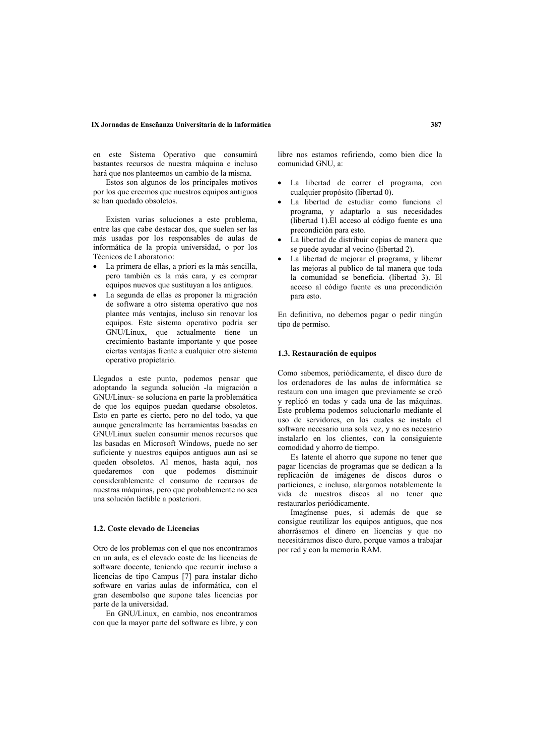#### IX Jornadas de Enseñanza Universitaria de la Informática

en este Sistema Operativo que consumirá bastantes recursos de nuestra máquina e incluso hará que nos planteemos un cambio de la misma.

Estos son algunos de los principales motivos por los que creemos que nuestros equipos antiguos se han quedado obsoletos.

Existen varias soluciones a este problema. entre las que cabe destacar dos, que suelen ser las más usadas por los responsables de aulas de informática de la propia universidad, o por los Técnicos de Laboratorio:

- La primera de ellas, a priori es la más sencilla, pero también es la más cara, y es comprar equipos nuevos que sustituyan a los antiguos.
- · La segunda de ellas es proponer la migración de software a otro sistema operativo que nos plantee más ventajas, incluso sin renovar los equinos. Este sistema operativo podría ser GNU/Linux, que actualmente tiene un crecimiento bastante importante y que posee ciertas ventajas frente a cualquier otro sistema operativo propietario.

Llegados a este punto, podemos pensar que adoptando la segunda solución -la migración a GNU/Linux- se soluciona en parte la problemática de que los equipos puedan quedarse obsoletos. Esto en parte es cierto, pero no del todo, ya que aunque generalmente las herramientas basadas en GNU/Linux suelen consumir menos recursos que las basadas en Microsoft Windows, puede no ser suficiente y nuestros equipos antiguos aun así se queden obsoletos. Al menos, hasta aquí, nos quedaremos con que podemos disminuir considerablemente el consumo de recursos de nuestras máquinas, pero que probablemente no sea una solución factible a posteriori.

## 1.2. Coste elevado de Licencias

Otro de los problemas con el que nos encontramos en un aula, es el elevado coste de las licencias de software docente, teniendo que recurrir incluso a licencias de tipo Campus  $\overline{7}$  para instalar dicho software en varias aulas de informática, con el gran desembolso que supone tales licencias por parte de la universidad.

En GNU/Linux, en cambio, nos encontramos con que la mayor parte del software es libre, y con libre nos estamos refiriendo, como bien dice la comunidad GNU, a:

- La libertad de correr el programa, con cualquier propósito (libertad 0).
- La libertad de estudiar como funciona el programa, y adaptarlo a sus necesidades (libertad 1).El acceso al código fuente es una precondición para esto.
- La libertad de distribuir copias de manera que se puede ayudar al vecino (libertad 2).
- La libertad de mejorar el programa, y liberar las mejoras al publico de tal manera que toda la comunidad se beneficia. (libertad 3). El acceso al código fuente es una precondición nara esto

En definitiva, no debemos pagar o pedir ningún tipo de permiso.

### 1.3. Restauración de equipos

Como sabemos, periódicamente, el disco duro de los ordenadores de las aulas de informática se restaura con una imagen que previamente se creó y replicó en todas y cada una de las máquinas. Este problema podemos solucionarlo mediante el uso de servidores, en los cuales se instala el software necesario una sola vez, y no es necesario instalarlo en los clientes, con la consiguiente comodidad y ahorro de tiempo.

Es latente el ahorro que supone no tener que pagar licencias de programas que se dedican a la replicación de imágenes de discos duros o particiones, e incluso, alargamos notablemente la vida de nuestros discos al no tener que restaurarlos periódicamente.

Imagínense pues, si además de que se consigue reutilizar los equipos antiguos, que nos ahorrásemos el dinero en licencias y que no necesitáramos disco duro, porque vamos a trabajar por red y con la memoria RAM.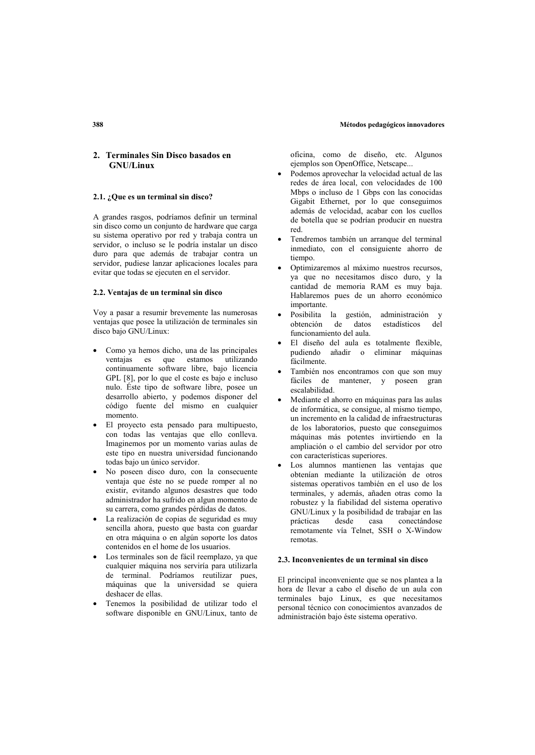# 2. Terminales Sin Disco basados en **GNU/Linux**

# 2.1. ¿Que es un terminal sin disco?

A grandes rasgos, podríamos definir un terminal sin disco como un conjunto de hardware que carga su sistema operativo por red y trabaja contra un servidor, o incluso se le podría instalar un disco duro para que además de trabajar contra un servidor, pudiese lanzar aplicaciones locales para evitar que todas se ejecuten en el servidor.

#### 2.2. Ventaias de un terminal sin disco

Vov a pasar a resumir brevemente las numerosas ventajas que posee la utilización de terminales sin disco bajo GNU/Linux:

- Como ya hemos dicho, una de las principales ventajas es que estamos utilizando continuamente software libre, bajo licencia GPL [8], por lo que el coste es bajo e incluso nulo. Éste tipo de software libre, posee un desarrollo abierto, y podemos disponer del código fuente del mismo en cualquier momento
- · El proyecto esta pensado para multipuesto, con todas las ventajas que ello conlleva. Imaginemos por un momento varias aulas de este tipo en nuestra universidad funcionando todas bajo un único servidor.
- No poseen disco duro, con la consecuente ventaja que éste no se puede romper al no existir, evitando algunos desastres que todo administrador ha sufrido en algun momento de su carrera, como grandes pérdidas de datos.
- La realización de copias de seguridad es muy sencilla ahora, puesto que basta con guardar en otra máquina o en algún soporte los datos contenidos en el home de los usuarios.
- Los terminales son de fácil reemplazo, ya que cualquier máquina nos serviría para utilizarla de terminal. Podríamos reutilizar pues, máquinas que la universidad se quiera deshacer de ellas.
- Tenemos la posibilidad de utilizar todo el software disponible en GNU/Linux, tanto de

oficina. como de diseño, etc. Algunos ejemplos son OpenOffice, Netscape...

- Podemos aprovechar la velocidad actual de las redes de área local, con velocidades de 100 Mbps o incluso de 1 Gbps con las conocidas Gigabit Ethernet, por lo que conseguimos además de velocidad, acabar con los cuellos de botella que se podrían producir en nuestra  $red$
- Tendremos también un arranque del terminal inmediato, con el consiguiente ahorro de tiempo.
- Optimizaremos al máximo nuestros recursos, va que no necesitamos disco duro, y la cantidad de memoria RAM es muy baja. Hablaremos pues de un ahorro económico importante.
- Posibilita la gestión, administración y obtención de datos estadísticos del funcionamiento del aula.
- El diseño del aula es totalmente flexible. pudiendo añadir o eliminar máquinas fácilmente
- También nos encontramos con que son muy fáciles de mantener, y poseen gran escalabilidad.
- Mediante el ahorro en máquinas para las aulas de informática, se consigue, al mismo tiempo, un incremento en la calidad de infraestructuras de los laboratorios, puesto que conseguimos máquinas más potentes invirtiendo en la ampliación o el cambio del servidor por otro con características superiores.
- Los alumnos mantienen las ventajas que obtenían mediante la utilización de otros sistemas operativos también en el uso de los terminales, y además, añaden otras como la robustez y la fiabilidad del sistema operativo GNU/Linux y la posibilidad de trabajar en las prácticas desde casa conectándose remotamente vía Telnet, SSH o X-Window remotas

#### 2.3. Inconvenientes de un terminal sin disco

El principal inconveniente que se nos plantea a la hora de llevar a cabo el diseño de un aula con terminales bajo Linux, es que necesitamos personal técnico con conocimientos avanzados de administración bajo éste sistema operativo.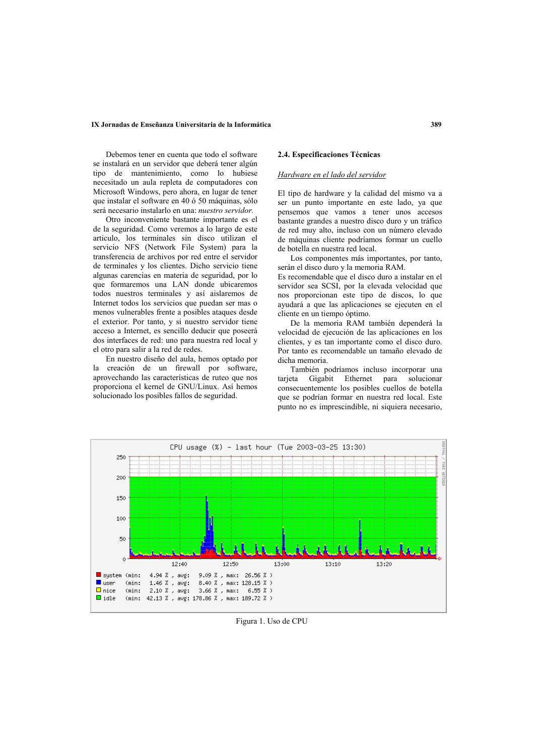#### IX Jornadas de Enseñanza Universitaria de la Informática

Debemos tener en cuenta que todo el software se instalará en un servidor que deberá tener algún tipo de mantenimiento, como lo hubiese necesitado un aula repleta de computadores con Microsoft Windows, pero ahora, en lugar de tener que instalar el software en 40 ó 50 máquinas, sólo será necesario instalarlo en una: nuestro servidor.

Otro inconveniente bastante importante es el de la seguridad. Como veremos a lo largo de este articulo, los terminales sin disco utilizan el servicio NFS (Network File System) para la transferencia de archivos por red entre el servidor de terminales y los clientes. Dicho servicio tiene algunas carencias en materia de seguridad, por lo que formaremos una LAN donde ubicaremos todos nuestros terminales y así aislaremos de Internet todos los servicios que puedan ser mas o menos vulnerables frente a posibles ataques desde el exterior. Por tanto, y si nuestro servidor tiene acceso a Internet, es sencillo deducir que poseerá dos interfaces de red: uno para nuestra red local y el otro para salir a la red de redes.

En nuestro diseño del aula, hemos optado por la creación de un firewall por software, aprovechando las características de ruteo que nos proporciona el kernel de GNU/Linux. Así hemos solucionado los posibles fallos de seguridad.

# 2.4. Especificaciones Técnicas

# Hardware en el lado del servidor

El tipo de hardware y la calidad del mismo va a ser un punto importante en este lado, ya que pensemos que vamos a tener unos accesos bastante grandes a nuestro disco duro y un tráfico de red muy alto, incluso con un número elevado de máquinas cliente podríamos formar un cuello de botella en nuestra red local.

Los componentes más importantes, por tanto, serán el disco duro y la memoria RAM.

Es recomendable que el disco duro a instalar en el servidor sea SCSI, por la elevada velocidad que nos proporcionan este tipo de discos, lo que avudará a que las aplicaciones se ejecuten en el cliente en un tiempo óptimo.

De la memoria RAM también dependerá la velocidad de ejecución de las aplicaciones en los clientes, y es tan importante como el disco duro. Por tanto es recomendable un tamaño elevado de dicha memoria

También podríamos incluso incorporar una tarjeta Gigabit Ethernet para solucionar consecuentemente los posibles cuellos de botella que se podrían formar en nuestra red local. Este punto no es imprescindible, ni siquiera necesario,



Figura 1. Uso de CPU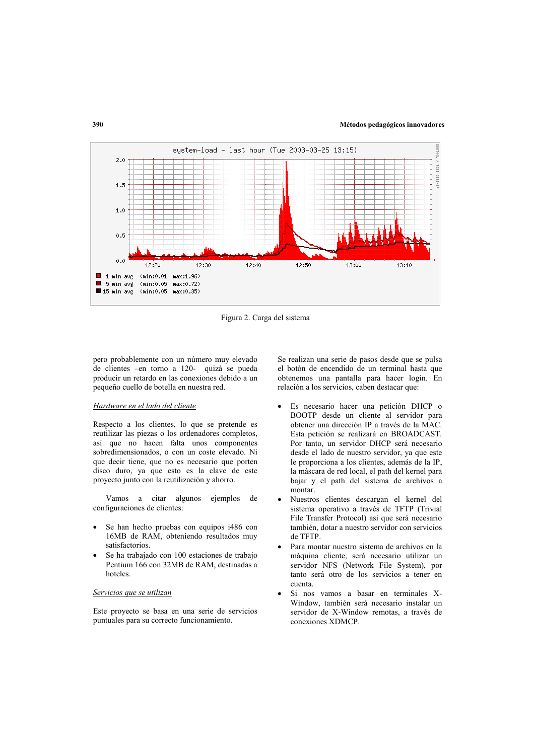

Figura 2. Carga del sistema

pero probablemente con un número muy elevado de clientes -en torno a 120- quizá se pueda producir un retardo en las conexiones debido a un pequeño cuello de botella en nuestra red.

### Hardware en el lado del cliente

Respecto a los clientes, lo que se pretende es reutilizar las piezas o los ordenadores completos, así que no hacen falta unos componentes sobredimensionados, o con un coste elevado. Ni que decir tiene, que no es necesario que porten disco duro, va que esto es la clave de este proyecto junto con la reutilización y ahorro.

Vamos a citar algunos ejemplos de configuraciones de clientes:

- Se han hecho pruebas con equipos i486 con 16MB de RAM, obteniendo resultados muy satisfactorios.
- Se ha trabajado con 100 estaciones de trabajo Pentium 166 con 32MB de RAM, destinadas a hoteles.

# Servicios que se utilizan

Este proyecto se basa en una serie de servicios puntuales para su correcto funcionamiento.

Se realizan una serie de pasos desde que se pulsa el botón de encendido de un terminal hasta que obtenemos una pantalla para hacer login. En relación a los servicios, caben destacar que:

- Es necesario hacer una petición DHCP o BOOTP desde un cliente al servidor para obtener una dirección IP a través de la MAC. Esta petición se realizará en BROADCAST. Por tanto, un servidor DHCP será necesario desde el lado de nuestro servidor, ya que este le proporciona a los clientes, además de la IP, la máscara de red local, el path del kernel para bajar y el path del sistema de archivos a montar.
- Nuestros clientes descargan el kernel del sistema operativo a través de TFTP (Trivial File Transfer Protocol) así que será necesario también, dotar a nuestro servidor con servicios de TFTP.
- Para montar nuestro sistema de archivos en la máquina cliente, será necesario utilizar un servidor NFS (Network File System), por tanto será otro de los servicios a tener en cuenta.
- Si nos vamos a basar en terminales X-Window, también será necesario instalar un servidor de X-Window remotas, a través de conexiones XDMCP.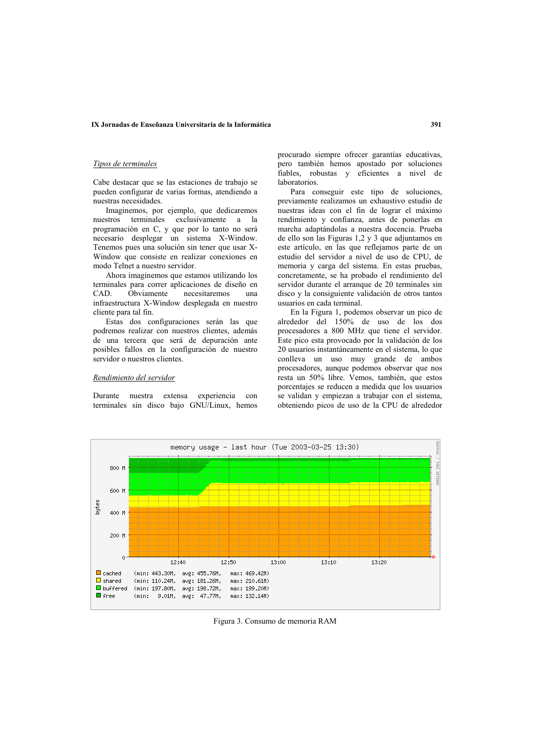### IX Jornadas de Enseñanza Universitaria de la Informática

### Tipos de terminales

Cabe destacar que se las estaciones de trabajo se pueden configurar de varias formas, atendiendo a nuestras necesidades.

Imaginemos, por ejemplo, que dedicaremos nuestros terminales exclusivamente a la programación en C, y que por lo tanto no será necesario desplegar un sistema X-Window. Tenemos pues una solución sin tener que usar X-Window que consiste en realizar conexiones en modo Telnet a nuestro servidor.

Ahora imaginemos que estamos utilizando los terminales para correr aplicaciones de diseño en CAD. Obviamente necesitaremos una infraestructura X-Window desplegada en nuestro cliente para tal fin.

Estas dos configuraciones serán las que podremos realizar con nuestros clientes, además de una tercera que será de depuración ante posibles fallos en la configuración de nuestro servidor o nuestros clientes.

#### Rendimiento del servidor

Durante nuestra extensa experiencia con terminales sin disco bajo GNU/Linux, hemos procurado siempre ofrecer garantías educativas, pero también hemos apostado por soluciones fiables, robustas y eficientes a nivel de laboratorios

Para conseguir este tipo de soluciones, previamente realizamos un exhaustivo estudio de nuestras ideas con el fin de lograr el máximo rendimiento y confianza, antes de nonerlas en marcha adaptándolas a nuestra docencia. Prueba de ello son las Figuras 1,2 y 3 que adjuntamos en este artículo, en las que reflejamos parte de un estudio del servidor a nivel de uso de CPU, de memoria y carga del sistema. En estas pruebas, concretamente, se ha probado el rendimiento del servidor durante el arranque de 20 terminales sin disco y la consiguiente validación de otros tantos usuarios en cada terminal.

En la Figura 1, podemos observar un pico de alrededor del 150% de uso de los dos procesadores a 800 MHz que tiene el servidor. Este pico esta provocado por la validación de los 20 usuarios instantáneamente en el sistema, lo que conlleva un uso muy grande de ambos procesadores, aunque podemos observar que nos resta un 50% libre. Vemos, también, que estos porcentajes se reducen a medida que los usuarios se validan y empiezan a trabajar con el sistema, obteniendo picos de uso de la CPU de alrededor



Figura 3. Consumo de memoria RAM